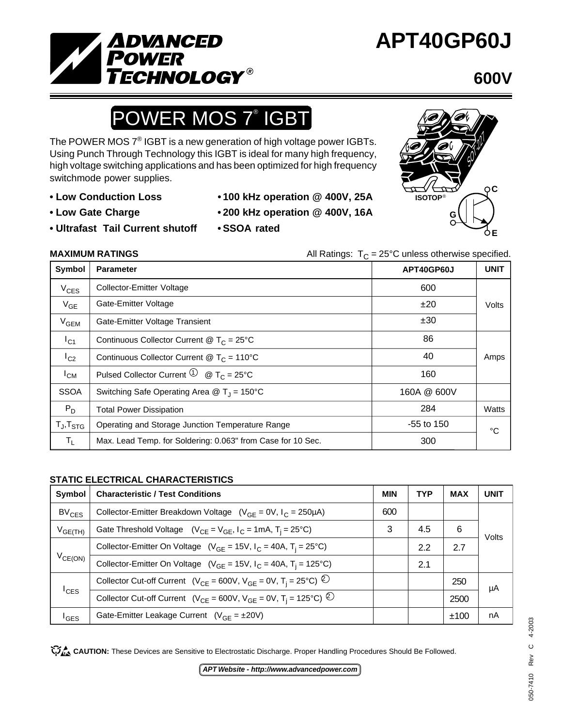# **APT40GP60J**



# POWER MOS 7® IGBT

**ADVANCED**<br>POWER

TECHNOLOGY®

The POWER MOS 7<sup>®</sup> IGBT is a new generation of high voltage power IGBTs. Using Punch Through Technology this IGBT is ideal for many high frequency, high voltage switching applications and has been optimized for high frequency switchmode power supplies.

- 
- 
- **Ultrafast Tail Current shutoff SSOA rated**
- **Low Conduction Loss 100 kHz operation @ 400V, 25A**
- **Low Gate Charge 200 kHz operation @ 400V, 16A**
	-
- SO<sup>T-22</sup> **GEECISOTOP**®  $\overline{\phantom{0}}$ **G E**
- **MAXIMUM RATINGS**  $\begin{array}{ccc}\n\bullet & \bullet & \bullet \\
\bullet & \bullet & \bullet\n\end{array}$  All Ratings:  $T_C = 25^{\circ}C$  unless otherwise specified.

| Symbol             | <b>Parameter</b>                                                       | APT40GP60J   | <b>UNIT</b> |
|--------------------|------------------------------------------------------------------------|--------------|-------------|
| $V_{CES}$          | Collector-Emitter Voltage                                              | 600          |             |
| $V_{GE}$           | Gate-Emitter Voltage                                                   | ±20          | Volts       |
| $V_{GEM}$          | Gate-Emitter Voltage Transient                                         | ±30          |             |
| $I_{C1}$           | Continuous Collector Current $@T_C = 25°C$                             | 86           |             |
| $I_{C2}$           | Continuous Collector Current $\textcircled{a}$ T <sub>C</sub> = 110°C  | 40           | Amps        |
| $^{\mathsf{I}}$ CM | Pulsed Collector Current $\overline{0}$ @ T <sub>C</sub> = 25°C        | 160          |             |
| <b>SSOA</b>        | Switching Safe Operating Area $\textcircled{1}$ T <sub>1</sub> = 150°C | 160A @ 600V  |             |
| $P_D$              | <b>Total Power Dissipation</b>                                         | 284          | Watts       |
| $T_J$ , $T_{STG}$  | Operating and Storage Junction Temperature Range                       | $-55$ to 150 | °∩          |
| $T_{\rm L}$        | Max. Lead Temp. for Soldering: 0.063" from Case for 10 Sec.            | 300          |             |

# **STATIC ELECTRICAL CHARACTERISTICS**

| Symbol                       | <b>Characteristic / Test Conditions</b>                                                            | <b>MIN</b> | <b>TYP</b> | <b>MAX</b> | <b>UNIT</b> |  |
|------------------------------|----------------------------------------------------------------------------------------------------|------------|------------|------------|-------------|--|
| $\mathsf{BV}_{\mathsf{CES}}$ | Collector-Emitter Breakdown Voltage $(V_{GF} = 0V, I_C = 250 \mu A)$                               | 600        |            |            |             |  |
| $V_{GE(TH)}$                 | Gate Threshold Voltage $(V_{CE} = V_{GE}, I_C = 1mA, T_i = 25°C)$                                  | 3          | 4.5        | 6          | Volts       |  |
| $V_{CE(ON)}$                 | Collector-Emitter On Voltage $(V_{GE} = 15V, I_C = 40A, T_i = 25^{\circ}C)$                        |            | 2.2        | 2.7        |             |  |
|                              | Collector-Emitter On Voltage ( $V_{GE}$ = 15V, $I_C$ = 40A, T <sub>i</sub> = 125°C)                |            | 2.1        |            |             |  |
| $I_{CES}$                    | Collector Cut-off Current ( $V_{CE} = 600V$ , $V_{GE} = 0V$ , $T_i = 25^{\circ}C$ ) $\circled{2}$  |            |            | 250        | μA          |  |
|                              | Collector Cut-off Current ( $V_{CE} = 600V$ , $V_{GE} = 0V$ , $T_i = 125^{\circ}C$ ) $\circled{C}$ |            |            | 2500       |             |  |
| <sup>I</sup> GES             | Gate-Emitter Leakage Current $(V_{GF} = \pm 20V)$                                                  |            |            | ±100       | nA          |  |

CAUTION: These Devices are Sensitive to Electrostatic Discharge. Proper Handling Procedures Should Be Followed.

*APT Website - http://www.advancedpower.com*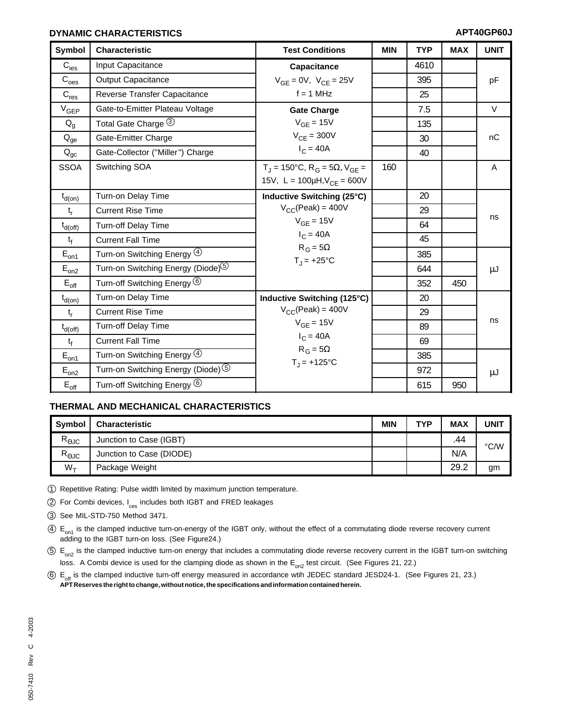## **DYNAMIC CHARACTERISTICS APT40GP60J**

| Symbol                      | <b>Characteristic</b>                           | <b>Test Conditions</b>                                               | <b>MIN</b> | <b>TYP</b> | <b>MAX</b> | <b>UNIT</b> |
|-----------------------------|-------------------------------------------------|----------------------------------------------------------------------|------------|------------|------------|-------------|
| $\mathrm{C_{ies}}$          | Input Capacitance                               | Capacitance                                                          |            | 4610       |            |             |
| $C_{\text{oes}}$            | <b>Output Capacitance</b>                       | $V_{GE} = 0V$ , $V_{CE} = 25V$                                       |            | 395        |            | pF          |
| $\mathsf{C}_{\mathsf{res}}$ | Reverse Transfer Capacitance                    | $f = 1$ MHz                                                          |            | 25         |            |             |
| $V_{GEP}$                   | Gate-to-Emitter Plateau Voltage                 | <b>Gate Charge</b>                                                   |            | 7.5        |            | $\vee$      |
| $Q_g$                       | Total Gate Charge 3                             | $V_{GE}$ = 15V                                                       |            | 135        |            |             |
| $\mathsf{Q}_\mathsf{ge}$    | Gate-Emitter Charge                             | $V_{CE} = 300V$                                                      |            | 30         |            | nC          |
| $\mathsf{Q}_{\mathsf{gc}}$  | Gate-Collector ("Miller") Charge                | $I_C = 40A$                                                          |            | 40         |            |             |
| <b>SSOA</b>                 | Switching SOA                                   | $T_{\rm J}$ = 150°C, R <sub>G</sub> = 5 $\Omega$ , V <sub>GF</sub> = | 160        |            |            | A           |
|                             |                                                 | 15V, L = $100 \mu H, V_{CF} = 600 V$                                 |            |            |            |             |
| $t_{d(on)}$                 | Turn-on Delay Time                              | Inductive Switching (25°C)                                           |            | 20         |            |             |
| $t_{r}$                     | <b>Current Rise Time</b>                        | $V_{CC}$ (Peak) = 400V                                               |            | 29         |            | ns          |
| $t_{d(off)}$                | <b>Turn-off Delay Time</b>                      | $V_{GF} = 15V$                                                       |            | 64         |            |             |
| $t_f$                       | <b>Current Fall Time</b>                        | $I_C = 40A$                                                          |            | 45         |            |             |
| $\mathsf{E}_{\mathsf{on1}}$ | Turn-on Switching Energy 4                      | $R_G = 5\Omega$<br>$T_J = +25$ °C                                    |            | 385        |            |             |
| $E_{on2}$                   | Turn-on Switching Energy (Diode) <sup>(5)</sup> |                                                                      |            | 644        |            | μJ          |
| $E_{\text{off}}$            | Turn-off Switching Energy 6                     |                                                                      |            | 352        | 450        |             |
| $t_{d(0n)}$                 | Turn-on Delay Time                              | Inductive Switching (125°C)                                          |            | 20         |            |             |
| $t_{r}$                     | <b>Current Rise Time</b>                        | $V_{CC}$ (Peak) = 400V                                               |            | 29         |            |             |
| $t_{d(off)}$                | <b>Turn-off Delay Time</b>                      | $V_{GE}$ = 15V                                                       |            | 89         |            | ns          |
| $t_f$                       | <b>Current Fall Time</b>                        | $I_C = 40A$                                                          |            | 69         |            |             |
| $E_{on1}$                   | Turn-on Switching Energy $(4)$                  | $R_G = 5\Omega$                                                      |            | 385        |            |             |
| $E_{on2}$                   | Turn-on Switching Energy (Diode) 5              | $T_1 = +125$ °C                                                      |            | 972        |            | μJ          |
| $E_{\text{off}}$            | Turn-off Switching Energy 6                     |                                                                      |            | 615        | 950        |             |

## **THERMAL AND MECHANICAL CHARACTERISTICS**

| <b>Symbol</b>  | <b>Characteristic</b>    | MIN | <b>TYP</b> | <b>MAX</b> | UNIT |
|----------------|--------------------------|-----|------------|------------|------|
| $R_{\Theta$ JC | Junction to Case (IGBT)  |     |            | .44        | °C/W |
| $R_{\Theta$ JC | Junction to Case (DIODE) |     |            | N/A        |      |
| $W_{\tau}$     | Package Weight           |     |            | 29.2       | gm   |

1 Repetitive Rating: Pulse width limited by maximum junction temperature.

2 For Combi devices, I<sub>ces</sub> includes both IGBT and FRED leakages

3 See MIL-STD-750 Method 3471.

 $4.4$  E<sub>on1</sub> is the clamped inductive turn-on-energy of the IGBT only, without the effect of a commutating diode reverse recovery current adding to the IGBT turn-on loss. (See Figure24.)

5 E<sub>on2</sub> is the clamped inductive turn-on energy that includes a commutating diode reverse recovery current in the IGBT turn-on switching loss. A Combi device is used for the clamping diode as shown in the  $E_{on2}$  test circuit. (See Figures 21, 22.)

6 E<sub>off</sub> is the clamped inductive turn-off energy measured in accordance wtih JEDEC standard JESD24-1. (See Figures 21, 23.) **APT Reserves the right to change, without notice, the specifications and information contained herein.**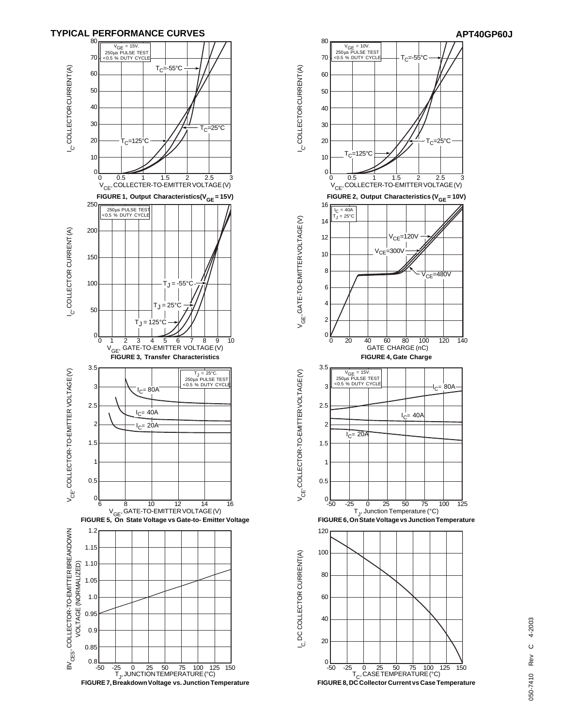

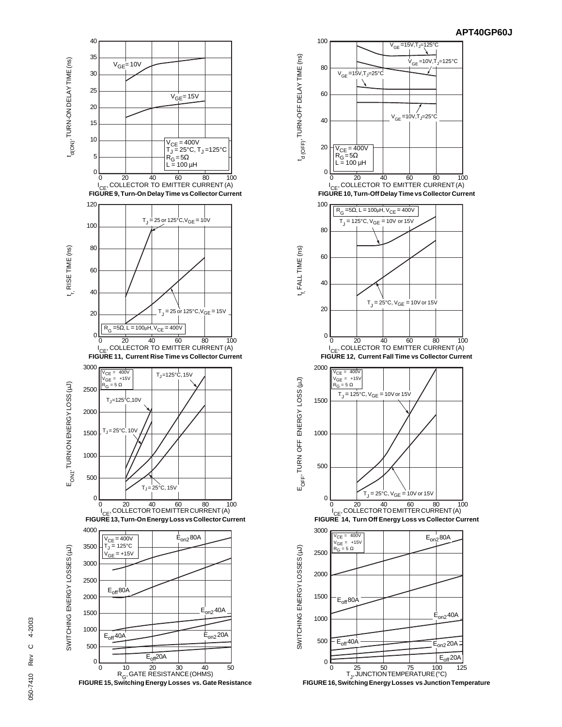#### **APT40GP60J**







**FIGURE 16, Switching Energy Losses vs Junction Temperature**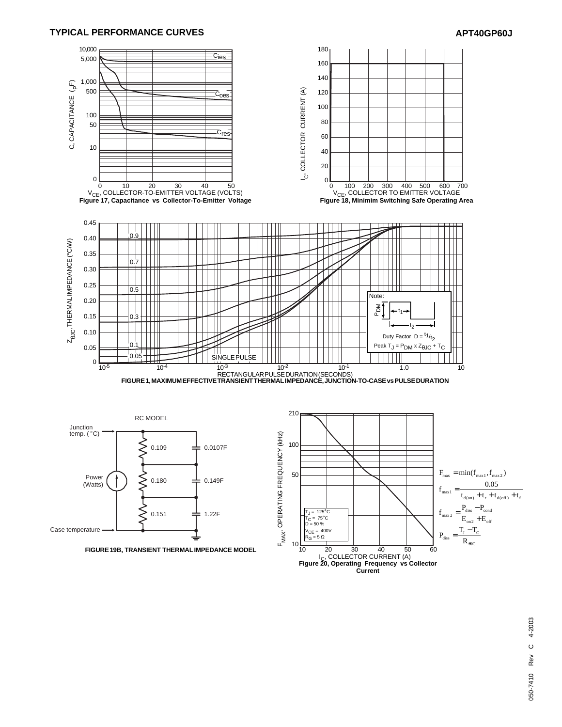### **TYPICAL PERFORMANCE CURVES**





**Current**